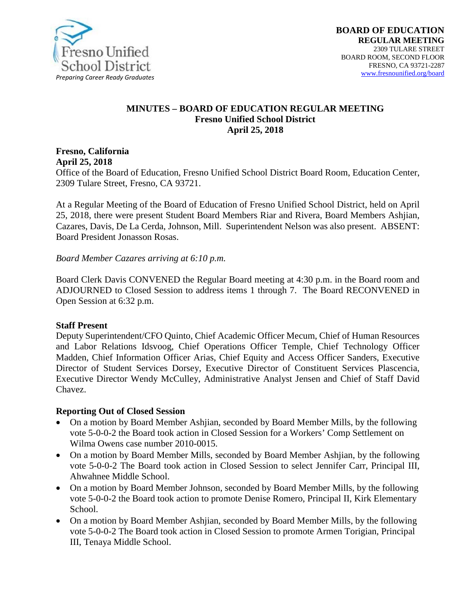

#### **MINUTES – BOARD OF EDUCATION REGULAR MEETING Fresno Unified School District April 25, 2018**

## **Fresno, California April 25, 2018**

Office of the Board of Education, Fresno Unified School District Board Room, Education Center, 2309 Tulare Street, Fresno, CA 93721.

At a Regular Meeting of the Board of Education of Fresno Unified School District, held on April 25, 2018, there were present Student Board Members Riar and Rivera, Board Members Ashjian, Cazares, Davis, De La Cerda, Johnson, Mill. Superintendent Nelson was also present. ABSENT: Board President Jonasson Rosas.

*Board Member Cazares arriving at 6:10 p.m.*

Board Clerk Davis CONVENED the Regular Board meeting at 4:30 p.m. in the Board room and ADJOURNED to Closed Session to address items 1 through 7. The Board RECONVENED in Open Session at 6:32 p.m.

## **Staff Present**

Deputy Superintendent/CFO Quinto, Chief Academic Officer Mecum, Chief of Human Resources and Labor Relations Idsvoog, Chief Operations Officer Temple, Chief Technology Officer Madden, Chief Information Officer Arias, Chief Equity and Access Officer Sanders, Executive Director of Student Services Dorsey, Executive Director of Constituent Services Plascencia, Executive Director Wendy McCulley, Administrative Analyst Jensen and Chief of Staff David Chavez.

## **Reporting Out of Closed Session**

- On a motion by Board Member Ashjian, seconded by Board Member Mills, by the following vote 5-0-0-2 the Board took action in Closed Session for a Workers' Comp Settlement on Wilma Owens case number 2010-0015.
- On a motion by Board Member Mills, seconded by Board Member Ashijan, by the following vote 5-0-0-2 The Board took action in Closed Session to select Jennifer Carr, Principal III, Ahwahnee Middle School.
- On a motion by Board Member Johnson, seconded by Board Member Mills, by the following vote 5-0-0-2 the Board took action to promote Denise Romero, Principal II, Kirk Elementary School.
- On a motion by Board Member Ashjian, seconded by Board Member Mills, by the following vote 5-0-0-2 The Board took action in Closed Session to promote Armen Torigian, Principal III, Tenaya Middle School.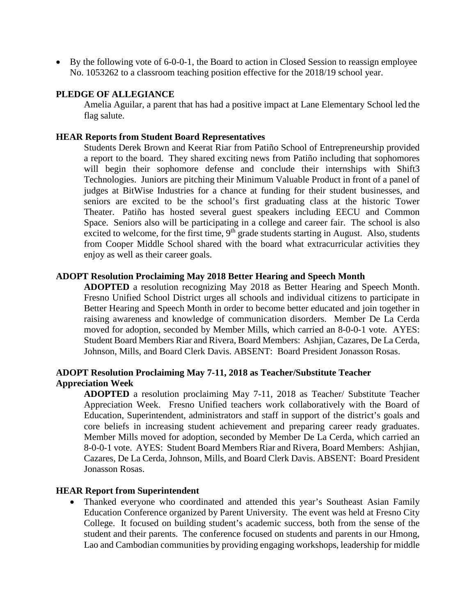• By the following vote of 6-0-0-1, the Board to action in Closed Session to reassign employee No. 1053262 to a classroom teaching position effective for the 2018/19 school year.

#### **PLEDGE OF ALLEGIANCE**

Amelia Aguilar, a parent that has had a positive impact at Lane Elementary School led the flag salute.

#### **HEAR Reports from Student Board Representatives**

Students Derek Brown and Keerat Riar from Patiño School of Entrepreneurship provided a report to the board. They shared exciting news from Patiño including that sophomores will begin their sophomore defense and conclude their internships with Shift3 Technologies. Juniors are pitching their Minimum Valuable Product in front of a panel of judges at BitWise Industries for a chance at funding for their student businesses, and seniors are excited to be the school's first graduating class at the historic Tower Theater. Patiño has hosted several guest speakers including EECU and Common Space. Seniors also will be participating in a college and career fair. The school is also excited to welcome, for the first time,  $9<sup>th</sup>$  grade students starting in August. Also, students from Cooper Middle School shared with the board what extracurricular activities they enjoy as well as their career goals.

#### **ADOPT Resolution Proclaiming May 2018 Better Hearing and Speech Month**

**ADOPTED** a resolution recognizing May 2018 as Better Hearing and Speech Month. Fresno Unified School District urges all schools and individual citizens to participate in Better Hearing and Speech Month in order to become better educated and join together in raising awareness and knowledge of communication disorders. Member De La Cerda moved for adoption, seconded by Member Mills, which carried an 8-0-0-1 vote. AYES: Student Board Members Riar and Rivera, Board Members: Ashjian, Cazares, De La Cerda, Johnson, Mills, and Board Clerk Davis. ABSENT: Board President Jonasson Rosas.

## **ADOPT Resolution Proclaiming May 7-11, 2018 as Teacher/Substitute Teacher Appreciation Week**

**ADOPTED** a resolution proclaiming May 7-11, 2018 as Teacher/ Substitute Teacher Appreciation Week. Fresno Unified teachers work collaboratively with the Board of Education, Superintendent, administrators and staff in support of the district's goals and core beliefs in increasing student achievement and preparing career ready graduates. Member Mills moved for adoption, seconded by Member De La Cerda, which carried an 8-0-0-1 vote. AYES: Student Board Members Riar and Rivera, Board Members: Ashjian, Cazares, De La Cerda, Johnson, Mills, and Board Clerk Davis. ABSENT: Board President Jonasson Rosas.

#### **HEAR Report from Superintendent**

• Thanked everyone who coordinated and attended this year's Southeast Asian Family Education Conference organized by Parent University. The event was held at Fresno City College. It focused on building student's academic success, both from the sense of the student and their parents. The conference focused on students and parents in our Hmong, Lao and Cambodian communities by providing engaging workshops, leadership for middle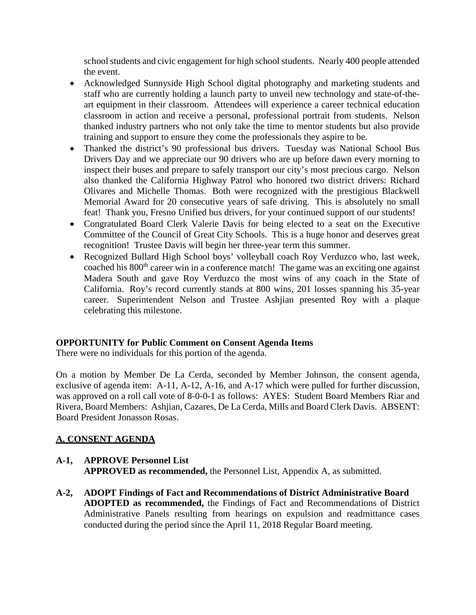school students and civic engagement for high school students. Nearly 400 people attended the event.

- Acknowledged Sunnyside High School digital photography and marketing students and staff who are currently holding a launch party to unveil new technology and state-of-theart equipment in their classroom. Attendees will experience a career technical education classroom in action and receive a personal, professional portrait from students. Nelson thanked industry partners who not only take the time to mentor students but also provide training and support to ensure they come the professionals they aspire to be.
- Thanked the district's 90 professional bus drivers. Tuesday was National School Bus Drivers Day and we appreciate our 90 drivers who are up before dawn every morning to inspect their buses and prepare to safely transport our city's most precious cargo. Nelson also thanked the California Highway Patrol who honored two district drivers: Richard Olivares and Michelle Thomas. Both were recognized with the prestigious Blackwell Memorial Award for 20 consecutive years of safe driving. This is absolutely no small feat! Thank you, Fresno Unified bus drivers, for your continued support of our students!
- Congratulated Board Clerk Valerie Davis for being elected to a seat on the Executive Committee of the Council of Great City Schools. This is a huge honor and deserves great recognition! Trustee Davis will begin her three-year term this summer.
- Recognized Bullard High School boys' volleyball coach Roy Verduzco who, last week, coached his 800th career win in a conference match! The game was an exciting one against Madera South and gave Roy Verduzco the most wins of any coach in the State of California. Roy's record currently stands at 800 wins, 201 losses spanning his 35-year career. Superintendent Nelson and Trustee Ashjian presented Roy with a plaque celebrating this milestone.

## **OPPORTUNITY for Public Comment on Consent Agenda Items**

There were no individuals for this portion of the agenda.

On a motion by Member De La Cerda, seconded by Member Johnson, the consent agenda, exclusive of agenda item: A-11, A-12, A-16, and A-17 which were pulled for further discussion, was approved on a roll call vote of 8-0-0-1 as follows: AYES: Student Board Members Riar and Rivera, Board Members: Ashjian, Cazares, De La Cerda, Mills and Board Clerk Davis. ABSENT: Board President Jonasson Rosas.

## **A. CONSENT AGENDA**

# **A-1, APPROVE Personnel List**

**APPROVED as recommended,** the Personnel List, Appendix A, as submitted.

**A-2, ADOPT Findings of Fact and Recommendations of District Administrative Board ADOPTED as recommended,** the Findings of Fact and Recommendations of District Administrative Panels resulting from hearings on expulsion and readmittance cases conducted during the period since the April 11, 2018 Regular Board meeting.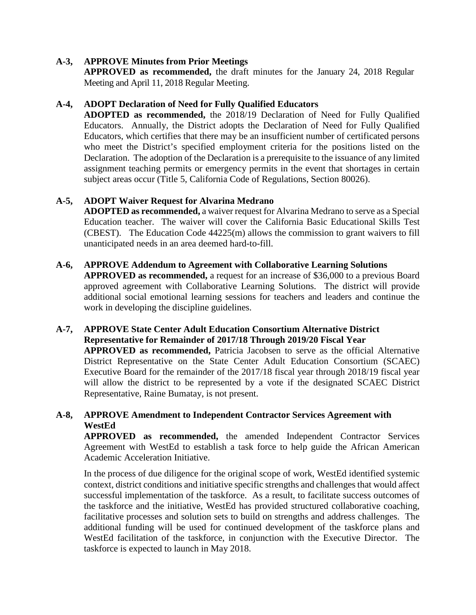## **A-3, APPROVE Minutes from Prior Meetings**

**APPROVED as recommended,** the draft minutes for the January 24, 2018 Regular Meeting and April 11, 2018 Regular Meeting.

## **A-4, ADOPT Declaration of Need for Fully Qualified Educators**

**ADOPTED as recommended,** the 2018/19 Declaration of Need for Fully Qualified Educators. Annually, the District adopts the Declaration of Need for Fully Qualified Educators, which certifies that there may be an insufficient number of certificated persons who meet the District's specified employment criteria for the positions listed on the Declaration. The adoption of the Declaration is a prerequisite to the issuance of any limited assignment teaching permits or emergency permits in the event that shortages in certain subject areas occur (Title 5, California Code of Regulations, Section 80026).

## **A-5, ADOPT Waiver Request for Alvarina Medrano**

**ADOPTED as recommended,** a waiver request for Alvarina Medrano to serve as a Special Education teacher. The waiver will cover the California Basic Educational Skills Test (CBEST). The Education Code 44225(m) allows the commission to grant waivers to fill unanticipated needs in an area deemed hard-to-fill.

#### **A-6, APPROVE Addendum to Agreement with Collaborative Learning Solutions**

**APPROVED as recommended,** a request for an increase of \$36,000 to a previous Board approved agreement with Collaborative Learning Solutions. The district will provide additional social emotional learning sessions for teachers and leaders and continue the work in developing the discipline guidelines.

#### **A-7, APPROVE State Center Adult Education Consortium Alternative District Representative for Remainder of 2017/18 Through 2019/20 Fiscal Year APPROVED as recommended,** Patricia Jacobsen to serve as the official Alternative District Representative on the State Center Adult Education Consortium (SCAEC) Executive Board for the remainder of the 2017/18 fiscal year through 2018/19 fiscal year will allow the district to be represented by a vote if the designated SCAEC District Representative, Raine Bumatay, is not present.

## **A-8, APPROVE Amendment to Independent Contractor Services Agreement with WestEd**

**APPROVED as recommended,** the amended Independent Contractor Services Agreement with WestEd to establish a task force to help guide the African American Academic Acceleration Initiative.

In the process of due diligence for the original scope of work, WestEd identified systemic context, district conditions and initiative specific strengths and challenges that would affect successful implementation of the taskforce. As a result, to facilitate success outcomes of the taskforce and the initiative, WestEd has provided structured collaborative coaching, facilitative processes and solution sets to build on strengths and address challenges. The additional funding will be used for continued development of the taskforce plans and WestEd facilitation of the taskforce, in conjunction with the Executive Director. The taskforce is expected to launch in May 2018.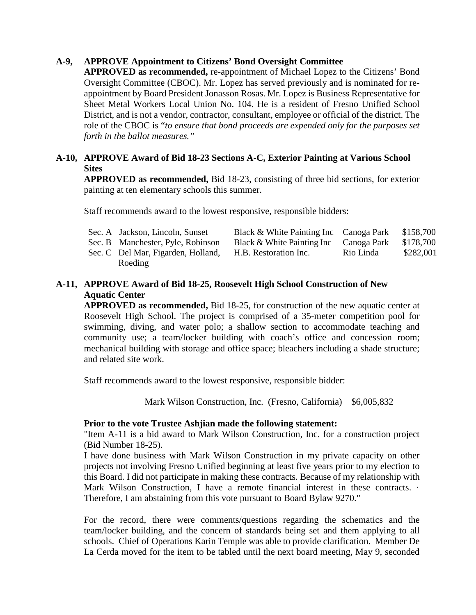## **A-9, APPROVE Appointment to Citizens' Bond Oversight Committee**

**APPROVED as recommended,** re-appointment of Michael Lopez to the Citizens' Bond Oversight Committee (CBOC). Mr. Lopez has served previously and is nominated for reappointment by Board President Jonasson Rosas. Mr. Lopez is Business Representative for Sheet Metal Workers Local Union No. 104. He is a resident of Fresno Unified School District, and is not a vendor, contractor, consultant, employee or official of the district. The role of the CBOC is "*to ensure that bond proceeds are expended only for the purposes set forth in the ballot measures."*

## **A-10, APPROVE Award of Bid 18-23 Sections A-C, Exterior Painting at Various School Sites**

**APPROVED as recommended,** Bid 18-23, consisting of three bid sections, for exterior painting at ten elementary schools this summer.

Staff recommends award to the lowest responsive, responsible bidders:

|  | Sec. A Jackson, Lincoln, Sunset    | Black & White Painting Inc Canoga Park |             | \$158,700 |
|--|------------------------------------|----------------------------------------|-------------|-----------|
|  | Sec. B Manchester, Pyle, Robinson  | Black & White Painting Inc             | Canoga Park | \$178,700 |
|  | Sec. C Del Mar, Figarden, Holland, | H.B. Restoration Inc.                  | Rio Linda   | \$282,001 |
|  | Roeding                            |                                        |             |           |

## **A-11, APPROVE Award of Bid 18-25, Roosevelt High School Construction of New Aquatic Center**

**APPROVED as recommended,** Bid 18-25, for construction of the new aquatic center at Roosevelt High School. The project is comprised of a 35-meter competition pool for swimming, diving, and water polo; a shallow section to accommodate teaching and community use; a team/locker building with coach's office and concession room; mechanical building with storage and office space; bleachers including a shade structure; and related site work.

Staff recommends award to the lowest responsive, responsible bidder:

Mark Wilson Construction, Inc. (Fresno, California) \$6,005,832

#### **Prior to the vote Trustee Ashjian made the following statement:**

"Item A-11 is a bid award to Mark Wilson Construction, Inc. for a construction project (Bid Number 18-25).

I have done business with Mark Wilson Construction in my private capacity on other projects not involving Fresno Unified beginning at least five years prior to my election to this Board. I did not participate in making these contracts. Because of my relationship with Mark Wilson Construction, I have a remote financial interest in these contracts.  $\cdot$ Therefore, I am abstaining from this vote pursuant to Board Bylaw 9270."

For the record, there were comments/questions regarding the schematics and the team/locker building, and the concern of standards being set and them applying to all schools. Chief of Operations Karin Temple was able to provide clarification. Member De La Cerda moved for the item to be tabled until the next board meeting, May 9, seconded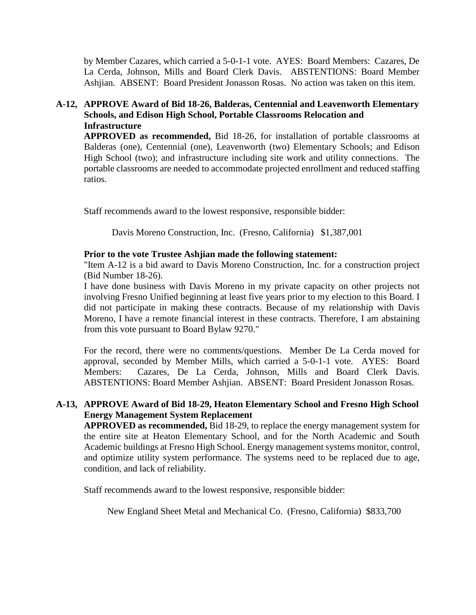by Member Cazares, which carried a 5-0-1-1 vote. AYES: Board Members: Cazares, De La Cerda, Johnson, Mills and Board Clerk Davis. ABSTENTIONS: Board Member Ashjian. ABSENT: Board President Jonasson Rosas. No action was taken on this item.

## **A-12, APPROVE Award of Bid 18-26, Balderas, Centennial and Leavenworth Elementary Schools, and Edison High School, Portable Classrooms Relocation and Infrastructure**

**APPROVED as recommended,** Bid 18-26, for installation of portable classrooms at Balderas (one), Centennial (one), Leavenworth (two) Elementary Schools; and Edison High School (two); and infrastructure including site work and utility connections. The portable classrooms are needed to accommodate projected enrollment and reduced staffing ratios.

Staff recommends award to the lowest responsive, responsible bidder:

Davis Moreno Construction, Inc. (Fresno, California) \$1,387,001

## **Prior to the vote Trustee Ashjian made the following statement:**

"Item A-12 is a bid award to Davis Moreno Construction, Inc. for a construction project (Bid Number 18-26).

I have done business with Davis Moreno in my private capacity on other projects not involving Fresno Unified beginning at least five years prior to my election to this Board. I did not participate in making these contracts. Because of my relationship with Davis Moreno, I have a remote financial interest in these contracts. Therefore, I am abstaining from this vote pursuant to Board Bylaw 9270."

For the record, there were no comments/questions. Member De La Cerda moved for approval, seconded by Member Mills, which carried a 5-0-1-1 vote. AYES: Board Members: Cazares, De La Cerda, Johnson, Mills and Board Clerk Davis. ABSTENTIONS: Board Member Ashjian. ABSENT: Board President Jonasson Rosas.

## **A-13, APPROVE Award of Bid 18-29, Heaton Elementary School and Fresno High School Energy Management System Replacement**

**APPROVED as recommended,** Bid 18-29, to replace the energy management system for the entire site at Heaton Elementary School, and for the North Academic and South Academic buildings at Fresno High School. Energy management systems monitor, control, and optimize utility system performance. The systems need to be replaced due to age, condition, and lack of reliability.

Staff recommends award to the lowest responsive, responsible bidder:

New England Sheet Metal and Mechanical Co. (Fresno, California) \$833,700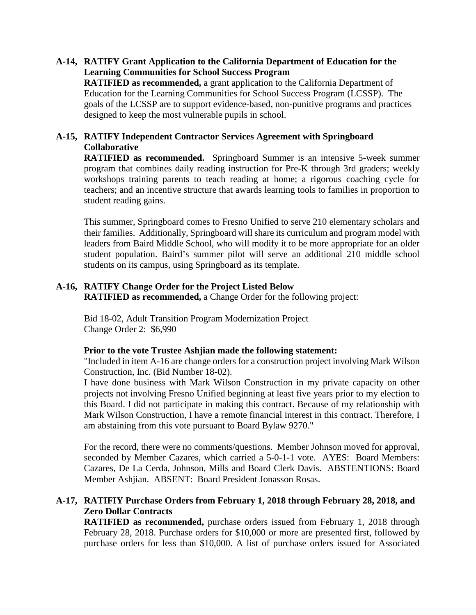## **A-14, RATIFY Grant Application to the California Department of Education for the Learning Communities for School Success Program**

**RATIFIED as recommended,** a grant application to the California Department of Education for the Learning Communities for School Success Program (LCSSP). The goals of the LCSSP are to support evidence-based, non-punitive programs and practices designed to keep the most vulnerable pupils in school.

#### **A-15, RATIFY Independent Contractor Services Agreement with Springboard Collaborative**

**RATIFIED as recommended.** Springboard Summer is an intensive 5-week summer program that combines daily reading instruction for Pre-K through 3rd graders; weekly workshops training parents to teach reading at home; a rigorous coaching cycle for teachers; and an incentive structure that awards learning tools to families in proportion to student reading gains.

This summer, Springboard comes to Fresno Unified to serve 210 elementary scholars and their families. Additionally, Springboard will share its curriculum and program model with leaders from Baird Middle School, who will modify it to be more appropriate for an older student population. Baird's summer pilot will serve an additional 210 middle school students on its campus, using Springboard as its template.

## **A-16, RATIFY Change Order for the Project Listed Below**

**RATIFIED as recommended,** a Change Order for the following project:

Bid 18-02, Adult Transition Program Modernization Project Change Order 2: \$6,990

#### **Prior to the vote Trustee Ashjian made the following statement:**

"Included in item A-16 are change orders for a construction project involving Mark Wilson Construction, Inc. (Bid Number 18-02).

I have done business with Mark Wilson Construction in my private capacity on other projects not involving Fresno Unified beginning at least five years prior to my election to this Board. I did not participate in making this contract. Because of my relationship with Mark Wilson Construction, I have a remote financial interest in this contract. Therefore, I am abstaining from this vote pursuant to Board Bylaw 9270."

For the record, there were no comments/questions. Member Johnson moved for approval, seconded by Member Cazares, which carried a 5-0-1-1 vote. AYES: Board Members: Cazares, De La Cerda, Johnson, Mills and Board Clerk Davis. ABSTENTIONS: Board Member Ashjian. ABSENT: Board President Jonasson Rosas.

## **A-17, RATIFIY Purchase Orders from February 1, 2018 through February 28, 2018, and Zero Dollar Contracts**

**RATIFIED as recommended,** purchase orders issued from February 1, 2018 through February 28, 2018. Purchase orders for \$10,000 or more are presented first, followed by purchase orders for less than \$10,000. A list of purchase orders issued for Associated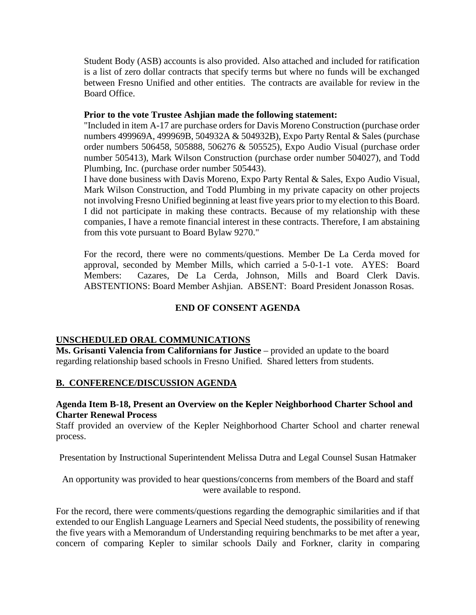Student Body (ASB) accounts is also provided. Also attached and included for ratification is a list of zero dollar contracts that specify terms but where no funds will be exchanged between Fresno Unified and other entities. The contracts are available for review in the Board Office.

#### **Prior to the vote Trustee Ashjian made the following statement:**

"Included in item A-17 are purchase orders for Davis Moreno Construction (purchase order numbers 499969A, 499969B, 504932A & 504932B), Expo Party Rental & Sales (purchase order numbers 506458, 505888, 506276 & 505525), Expo Audio Visual (purchase order number 505413), Mark Wilson Construction (purchase order number 504027), and Todd Plumbing, Inc. (purchase order number 505443).

I have done business with Davis Moreno, Expo Party Rental & Sales, Expo Audio Visual, Mark Wilson Construction, and Todd Plumbing in my private capacity on other projects not involving Fresno Unified beginning at least five years prior to my election to this Board. I did not participate in making these contracts. Because of my relationship with these companies, I have a remote financial interest in these contracts. Therefore, I am abstaining from this vote pursuant to Board Bylaw 9270."

For the record, there were no comments/questions. Member De La Cerda moved for approval, seconded by Member Mills, which carried a 5-0-1-1 vote. AYES: Board Members: Cazares, De La Cerda, Johnson, Mills and Board Clerk Davis. ABSTENTIONS: Board Member Ashjian. ABSENT: Board President Jonasson Rosas.

## **END OF CONSENT AGENDA**

## **UNSCHEDULED ORAL COMMUNICATIONS**

**Ms. Grisanti Valencia from Californians for Justice** – provided an update to the board regarding relationship based schools in Fresno Unified. Shared letters from students.

## **B. CONFERENCE/DISCUSSION AGENDA**

## **Agenda Item B-18, Present an Overview on the Kepler Neighborhood Charter School and Charter Renewal Process**

Staff provided an overview of the Kepler Neighborhood Charter School and charter renewal process.

Presentation by Instructional Superintendent Melissa Dutra and Legal Counsel Susan Hatmaker

An opportunity was provided to hear questions/concerns from members of the Board and staff were available to respond.

For the record, there were comments/questions regarding the demographic similarities and if that extended to our English Language Learners and Special Need students, the possibility of renewing the five years with a Memorandum of Understanding requiring benchmarks to be met after a year, concern of comparing Kepler to similar schools Daily and Forkner, clarity in comparing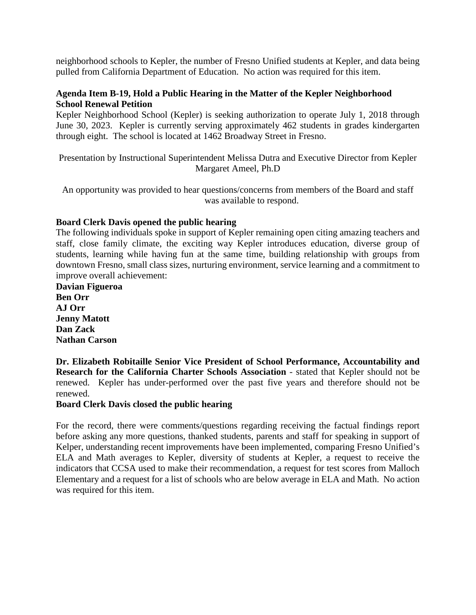neighborhood schools to Kepler, the number of Fresno Unified students at Kepler, and data being pulled from California Department of Education. No action was required for this item.

## **Agenda Item B-19, Hold a Public Hearing in the Matter of the Kepler Neighborhood School Renewal Petition**

Kepler Neighborhood School (Kepler) is seeking authorization to operate July 1, 2018 through June 30, 2023. Kepler is currently serving approximately 462 students in grades kindergarten through eight. The school is located at 1462 Broadway Street in Fresno.

Presentation by Instructional Superintendent Melissa Dutra and Executive Director from Kepler Margaret Ameel, Ph.D

An opportunity was provided to hear questions/concerns from members of the Board and staff was available to respond.

## **Board Clerk Davis opened the public hearing**

The following individuals spoke in support of Kepler remaining open citing amazing teachers and staff, close family climate, the exciting way Kepler introduces education, diverse group of students, learning while having fun at the same time, building relationship with groups from downtown Fresno, small class sizes, nurturing environment, service learning and a commitment to improve overall achievement:

**Davian Figueroa Ben Orr AJ Orr Jenny Matott Dan Zack Nathan Carson** 

**Dr. Elizabeth Robitaille Senior Vice President of School Performance, Accountability and Research for the California Charter Schools Association** - stated that Kepler should not be renewed. Kepler has under-performed over the past five years and therefore should not be renewed.

#### **Board Clerk Davis closed the public hearing**

For the record, there were comments/questions regarding receiving the factual findings report before asking any more questions, thanked students, parents and staff for speaking in support of Kelper, understanding recent improvements have been implemented, comparing Fresno Unified's ELA and Math averages to Kepler, diversity of students at Kepler, a request to receive the indicators that CCSA used to make their recommendation, a request for test scores from Malloch Elementary and a request for a list of schools who are below average in ELA and Math. No action was required for this item.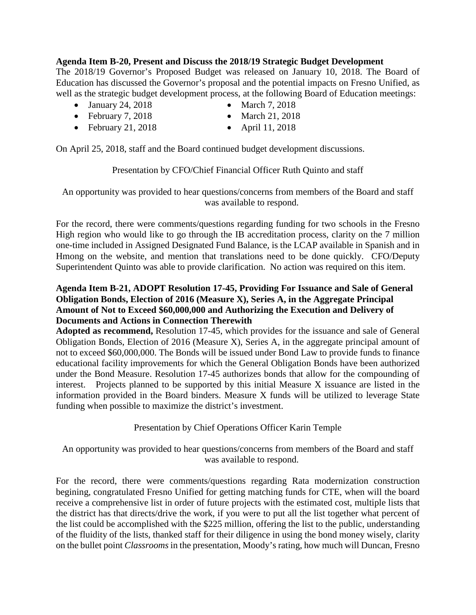## **Agenda Item B-20, Present and Discuss the 2018/19 Strategic Budget Development**

The 2018/19 Governor's Proposed Budget was released on January 10, 2018. The Board of Education has discussed the Governor's proposal and the potential impacts on Fresno Unified, as well as the strategic budget development process, at the following Board of Education meetings:

- January 24, 2018 March 7, 2018
- 
- February 7, 2018 March 21, 2018
- February 21, 2018 April 11, 2018
- 
- 

On April 25, 2018, staff and the Board continued budget development discussions.

## Presentation by CFO/Chief Financial Officer Ruth Quinto and staff

An opportunity was provided to hear questions/concerns from members of the Board and staff was available to respond.

For the record, there were comments/questions regarding funding for two schools in the Fresno High region who would like to go through the IB accreditation process, clarity on the 7 million one-time included in Assigned Designated Fund Balance, is the LCAP available in Spanish and in Hmong on the website, and mention that translations need to be done quickly. CFO/Deputy Superintendent Quinto was able to provide clarification. No action was required on this item.

## **Agenda Item B-21, ADOPT Resolution 17-45, Providing For Issuance and Sale of General Obligation Bonds, Election of 2016 (Measure X), Series A, in the Aggregate Principal Amount of Not to Exceed \$60,000,000 and Authorizing the Execution and Delivery of Documents and Actions in Connection Therewith**

**Adopted as recommend,** Resolution 17-45, which provides for the issuance and sale of General Obligation Bonds, Election of 2016 (Measure X), Series A, in the aggregate principal amount of not to exceed \$60,000,000. The Bonds will be issued under Bond Law to provide funds to finance educational facility improvements for which the General Obligation Bonds have been authorized under the Bond Measure. Resolution 17-45 authorizes bonds that allow for the compounding of interest. Projects planned to be supported by this initial Measure X issuance are listed in the information provided in the Board binders. Measure X funds will be utilized to leverage State funding when possible to maximize the district's investment.

Presentation by Chief Operations Officer Karin Temple

An opportunity was provided to hear questions/concerns from members of the Board and staff was available to respond.

For the record, there were comments/questions regarding Rata modernization construction begining, congratulated Fresno Unified for getting matching funds for CTE, when will the board receive a comprehensive list in order of future projects with the estimated cost, multiple lists that the district has that directs/drive the work, if you were to put all the list together what percent of the list could be accomplished with the \$225 million, offering the list to the public, understanding of the fluidity of the lists, thanked staff for their diligence in using the bond money wisely, clarity on the bullet point *Classrooms* in the presentation, Moody's rating, how much will Duncan, Fresno